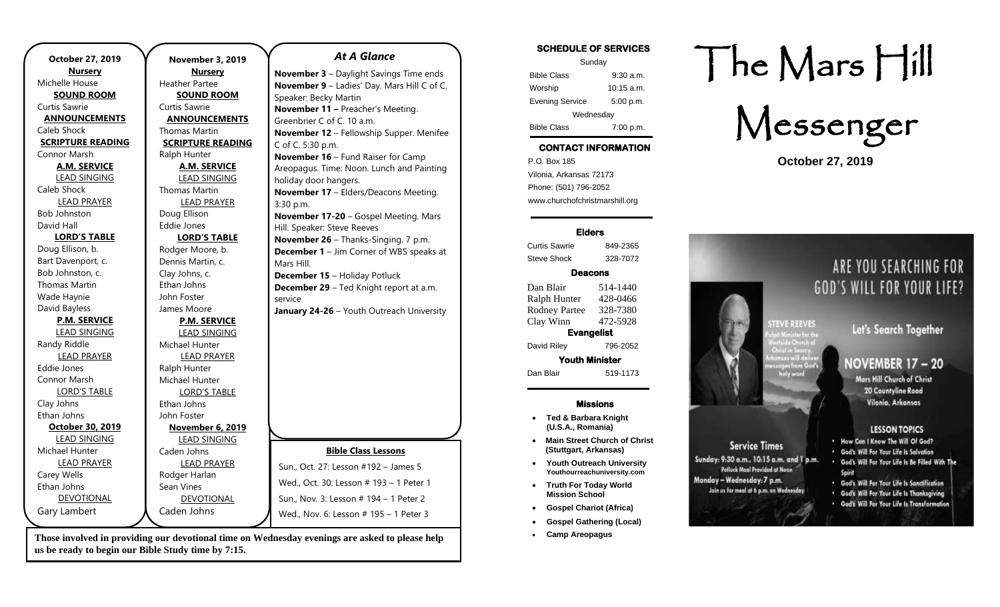| October 27, 2019         | November 3, 2019         |
|--------------------------|--------------------------|
| <b>Nursery</b>           | <b>Nursery</b>           |
| Michelle House           | <b>Heather Partee</b>    |
| <b>SOUND ROOM</b>        | <b>SOUND ROOM</b>        |
| <b>Curtis Sawrie</b>     | Curtis Sawrie            |
| <b>ANNOUNCEMENTS</b>     | <b>ANNOUNCEMENTS</b>     |
| Caleb Shock              | Thomas Martin            |
| <b>SCRIPTURE READING</b> | <b>SCRIPTURE READING</b> |
| Connor Marsh             | Ralph Hunter             |
| <b>A.M. SERVICE</b>      | <b>A.M. SERVICE</b>      |
| <b>LEAD SINGING</b>      | <b>LEAD SINGING</b>      |
| Caleb Shock              | Thomas Martin            |
| <b>LEAD PRAYER</b>       | <b>LEAD PRAYER</b>       |
| <b>Bob Johnston</b>      | Doug Ellison             |
| David Hall               | <b>Eddie Jones</b>       |
| <b>LORD'S TABLE</b>      | <b>LORD'S TABLE</b>      |
| Doug Ellison, b.         | Rodger Moore, b.         |
| Bart Davenport, c.       | Dennis Martin, c.        |
| Bob Johnston, c.         | Clay Johns, c.           |
| Thomas Martin            | Ethan Johns              |
| Wade Haynie              | John Foster              |
| David Bayless            | James Moore              |
| <b>P.M. SERVICE</b>      | <b>P.M. SERVICE</b>      |
| <b>LEAD SINGING</b>      | <b>LEAD SINGING</b>      |
| Randy Riddle             | Michael Hunter           |
| <b>LEAD PRAYER</b>       | <b>LEAD PRAYER</b>       |
| Eddie Jones              | Ralph Hunter             |
| Connor Marsh             | Michael Hunter           |
| <b>LORD'S TABLE</b>      | <b>LORD'S TABLE</b>      |
| Clay Johns               | Ethan Johns              |
| Ethan Johns              | John Foster              |
| October 30, 2019         | November 6, 2019         |
| <b>LEAD SINGING</b>      | <b>LEAD SINGING</b>      |
| Michael Hunter           | Caden Johns              |
| <b>LEAD PRAYER</b>       | <b>LEAD PRAYER</b>       |
| Carey Wells              | Rodger Harlan            |
| Ethan Johns              | Sean Vines               |
| <b>DEVOTIONAL</b>        | <b>DEVOTIONAL</b>        |
| Gary Lambert             | Caden Johns              |
|                          |                          |

### *At A Glance*

**November 3** – Daylight Savings Time ends **November 9** – Ladies' Day. Mars Hill C of C. Speaker: Becky Martin **November 11 –** Preacher's Meeting. Greenbrier C of C. 10 a.m. **November 12** – Fellowship Supper. Menifee C of C. 5:30 p.m. **November 16** – Fund Raiser for Camp Areopagus. Time: Noon. Lunch and Painting holiday door hangers. **November 17** – Elders/Deacons Meeting. 3:30 p.m. **November 17-20** – Gospel Meeting. Mars Hill. Speaker: Steve Reeves **November 26** – Thanks-Singing. 7 p.m. **December 1** – Jim Corner of WBS speaks at Mars Hill. **December 15** – Holiday Potluck **December 29** – Ted Knight report at a.m. service **January 24-26** – Youth Outreach University

# **Bible Class Lessons** Sun., Oct. 27: Lesson #192 – James 5 Wed., Oct. 30: Lesson # 193 – 1 Peter 1 Sun., Nov. 3: Lesson # 194 – 1 Peter 2 Wed., Nov. 6: Lesson # 195 – 1 Peter 3

**Those involved in providing our devotional time on Wednesday evenings are asked to please help us be ready to begin our Bible Study time by 7:15.** 

**SCHEDULE OF SERVICES**  Sunday Bible Class 9:30 a.m. Worship 10:15 a.m. Evening Service 5:00 p.m. Wednesday Bible Class 7:00 p.m.

# **CONTACT INFORMATION**

. .o. Box 166<br>Vilonia, Arkansas 72173 P.O. Box 185 Phone: (501) 796-2052 www.churchofchristmarshill.org

#### **Elders**

Curtis Sawrie 849-2365 Steve Shock 328-7072

## **Deacons**

Dan Blair 514-1440 Ralph Hunter 428-0466 Rodney Partee 328-7380 Clay Winn 472-5928 **Evangelist**  David Riley 796-2052

**Youth Minister**  Dan Blair 519-1173

### **Missions**

- **Ted & Barbara Knight (U.S.A., Romania)**
- **Main Street Church of Christ (Stuttgart, Arkansas)**
- **Youth Outreach University Youthourreachuniversity.com**
- **Truth For Today World Mission School**
- **Gospel Chariot (Africa)**
- **Gospel Gathering (Local)**
- **Camp Areopagus**

# The Mars Hill

Messenger

**October 27, 2019**